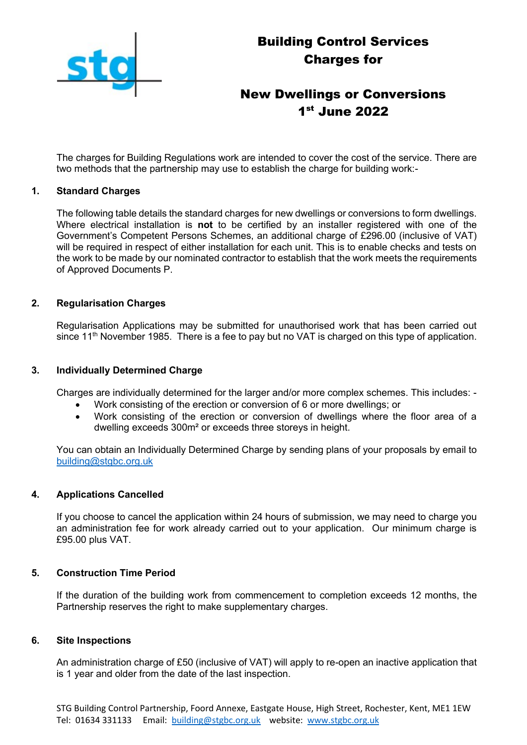

# Building Control Services Charges for

## New Dwellings or Conversions 1 st June 2022

The charges for Building Regulations work are intended to cover the cost of the service. There are two methods that the partnership may use to establish the charge for building work:-

#### **1. Standard Charges**

The following table details the standard charges for new dwellings or conversions to form dwellings. Where electrical installation is **not** to be certified by an installer registered with one of the Government's Competent Persons Schemes, an additional charge of £296.00 (inclusive of VAT) will be required in respect of either installation for each unit. This is to enable checks and tests on the work to be made by our nominated contractor to establish that the work meets the requirements of Approved Documents P.

#### **2. Regularisation Charges**

Regularisation Applications may be submitted for unauthorised work that has been carried out since 11<sup>th</sup> November 1985. There is a fee to pay but no VAT is charged on this type of application.

#### **3. Individually Determined Charge**

Charges are individually determined for the larger and/or more complex schemes. This includes: -

- Work consisting of the erection or conversion of 6 or more dwellings; or
- Work consisting of the erection or conversion of dwellings where the floor area of a dwelling exceeds 300m² or exceeds three storeys in height.

You can obtain an Individually Determined Charge by sending plans of your proposals by email to [building@stgbc.org.uk](mailto:building@stgbc.org.uk)

#### **4. Applications Cancelled**

If you choose to cancel the application within 24 hours of submission, we may need to charge you an administration fee for work already carried out to your application. Our minimum charge is £95.00 plus VAT.

#### **5. Construction Time Period**

If the duration of the building work from commencement to completion exceeds 12 months, the Partnership reserves the right to make supplementary charges.

#### **6. Site Inspections**

An administration charge of £50 (inclusive of VAT) will apply to re-open an inactive application that is 1 year and older from the date of the last inspection.